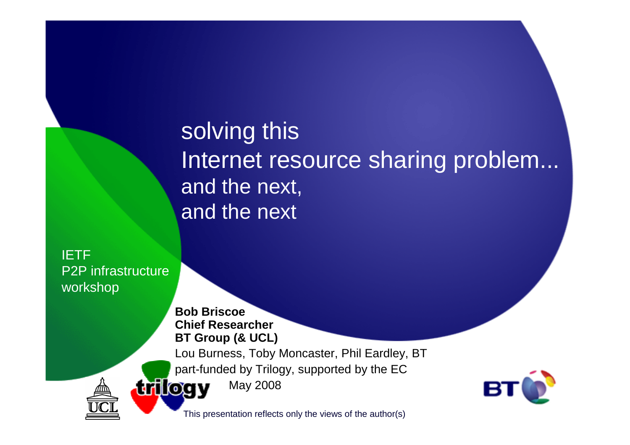solving this Internet resource sharing problem...and the next, and the next

IETF P2P infrastructureworkshop

> **Bob Briscoe Chief ResearcherBT Group (& UCL)**

Lou Burness, Toby Moncaster, Phil Eardley, BT

part-funded by Trilogy, supported by the EC

**trilogy** May 2008



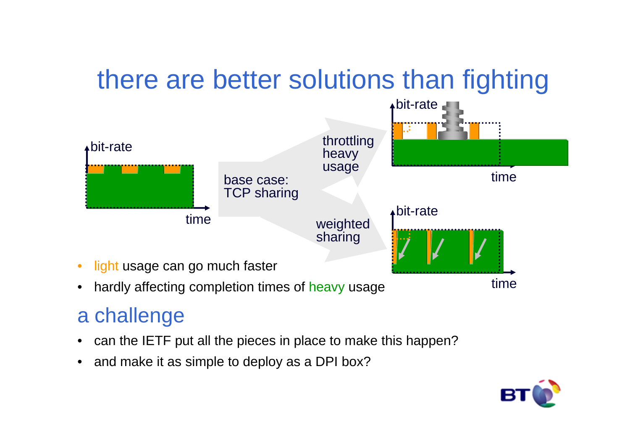# there are better solutions than fighting



 $\bullet$ hardly affecting completion times of heavy usage

#### a challenge

- can the IETF put all the pieces in place to make this happen?•
- and make it as simple to deploy as a DPI box?

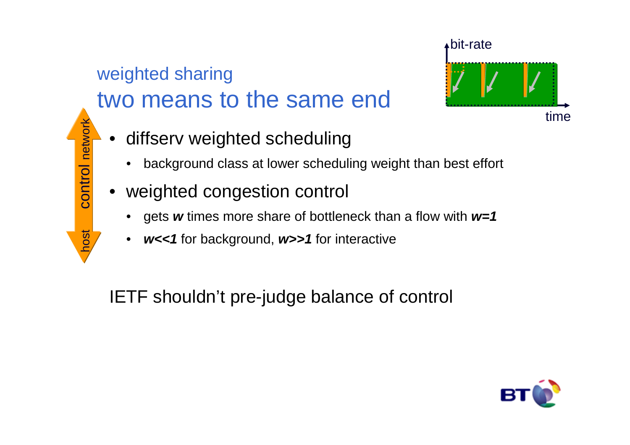#### weighted sharingtwo means to the same end



- • diffserv weighted scheduling
	- •background class at lower scheduling weight than best effort
- •weighted congestion control

host control network

host

control network

- •gets **w** times more share of bottleneck than a flow with **w=1**
- **w<<1** for background, **w>>1** for interactive

IETF shouldn't pre-judge balance of control

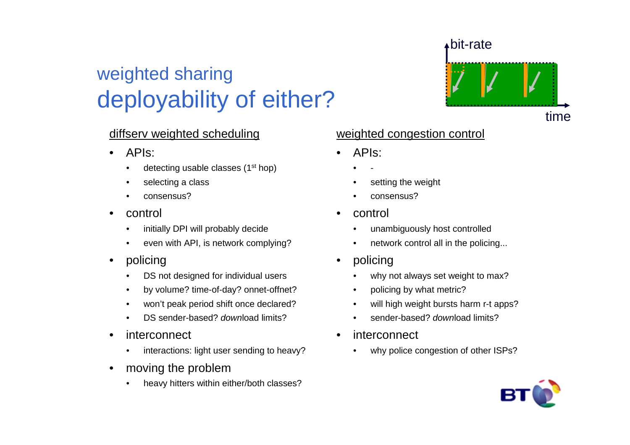### weighted sharingdeployability of either?

#### diffserv weighted scheduling

- • APIs:
	- •detecting usable classes  $(1<sup>st</sup> hop)$
	- •selecting a class
	- $\bullet$ consensus?
- • control
	- •initially DPI will probably decide
	- $\bullet$ even with API, is network complying?
- $\bullet$  policing
	- DS not designed for individual users•
	- •by volume? time-of-day? onnet-offnet?
	- won't peak period shift once declared?•
	- •DS sender-based? download limits?
- • interconnect
	- $\bullet$ interactions: light user sending to heavy?
- • moving the problem
	- heavy hitters within either/both classes?•

# bit-ratetime

#### weighted congestion control

- • APIs:
	- •-
	- •setting the weight
	- •consensus?
- • control
	- •unambiguously host controlled
	- •network control all in the policing...
- $\bullet$  policing
	- why not always set weight to max?•
	- •policing by what metric?
	- •will high weight bursts harm r-t apps?
	- •sender-based? download limits?
- • interconnect
	- •why police congestion of other ISPs?

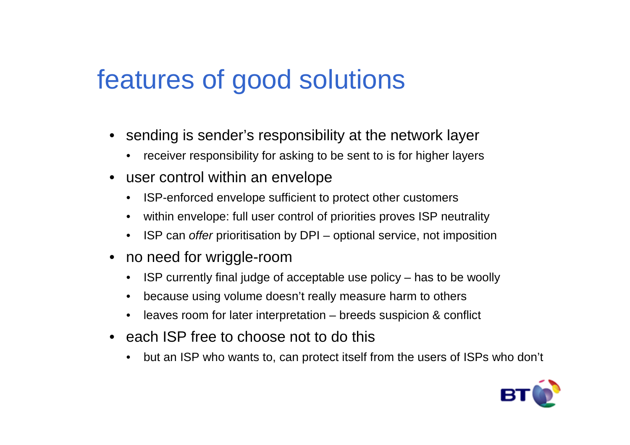# features of good solutions

- sending is sender's responsibility at the network layer
	- receiver responsibility for asking to be sent to is for higher layers
- user control within an envelope
	- ISP-enforced envelope sufficient to protect other customers
	- •within envelope: full user control of priorities proves ISP neutrality
	- ISP can offer prioritisation by DPI optional service, not imposition
- • no need for wriggle-room
	- ISP currently final judge of acceptable use policy has to be woolly $\bullet$
	- •because using volume doesn't really measure harm to others
	- leaves room for later interpretation breeds suspicion & conflict
- each ISP free to choose not to do this
	- •but an ISP who wants to, can protect itself from the users of ISPs who don't

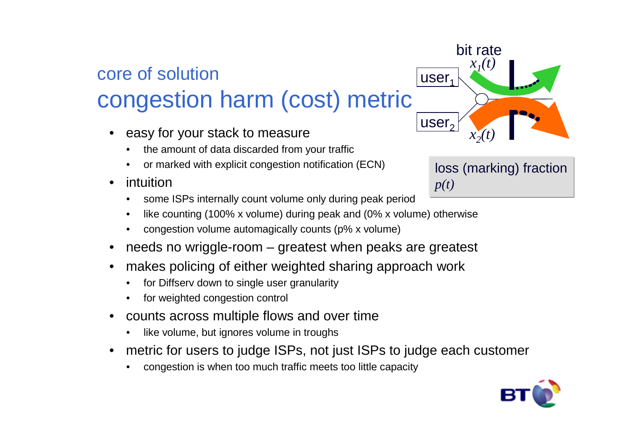#### core of solutioncongestion harm (cost) metric

- • easy for your stack to measure
	- the amount of data discarded from your traffic•
	- •or marked with explicit congestion notification (ECN)
- • intuition
	- some ISPs internally count volume only during peak period•
	- like counting (100% x volume) during peak and (0% x volume) otherwise•
	- •congestion volume automagically counts (p% x volume)
- •needs no wriggle-room – greatest when peaks are greatest
- • makes policing of either weighted sharing approach work
	- •for Diffserv down to single user granularity
	- •for weighted congestion control
- • counts across multiple flows and over time
	- •like volume, but ignores volume in troughs
- • metric for users to judge ISPs, not just ISPs to judge each customer
	- •congestion is when too much traffic meets too little capacity



loss (marking) fraction *p(t)*

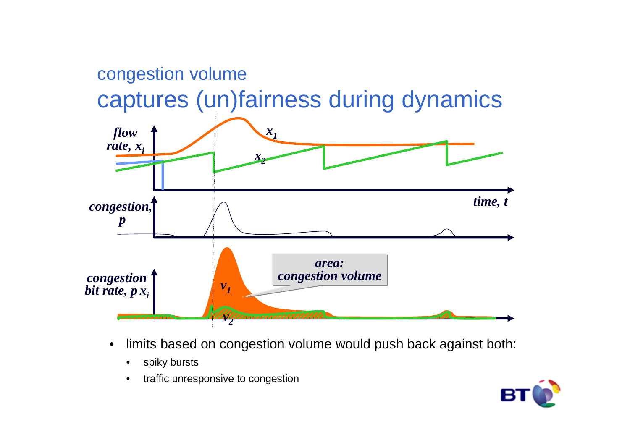

- $\bullet$  limits based on congestion volume would push back against both:
	- $\bullet$ spiky bursts
	- $\bullet$ traffic unresponsive to congestion

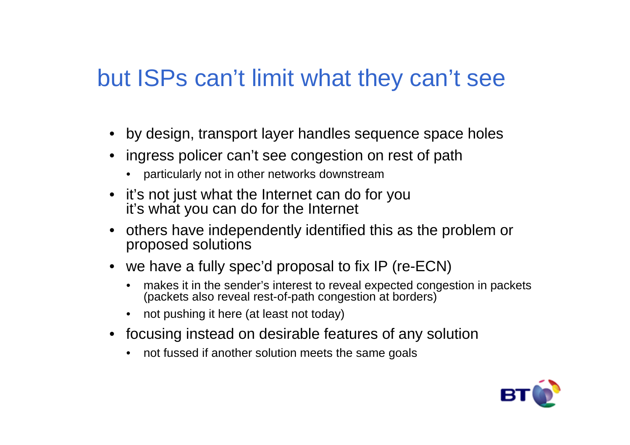### but ISPs can't limit what they can't see

- by design, transport layer handles sequence space holes
- ingress policer can't see congestion on rest of path
	- particularly not in other networks downstream
- it's not just what the Internet can do for youit's what you can do for the Internet
- others have independently identified this as the problem or proposed solutions
- we have a fully spec'd proposal to fix IP (re-ECN)
	- makes it in the sender's interest to reveal expected congestion in packets (packets also reveal rest-of-path congestion at borders)
	- not pushing it here (at least not today)
- focusing instead on desirable features of any solution
	- not fussed if another solution meets the same goal s

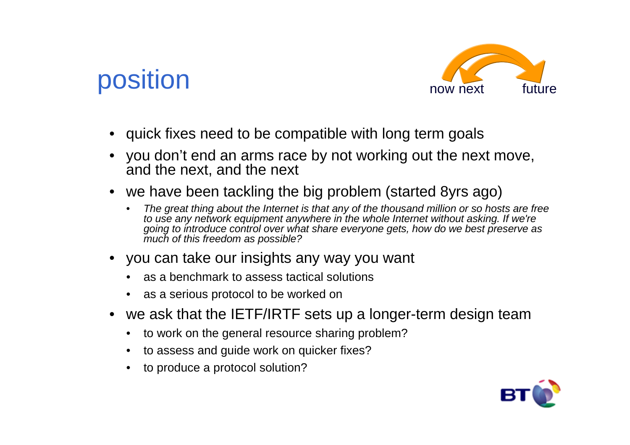# position



- quick fixes need to be compatible with long term goals
- you don't end an arms race by not working out the next move, and the next, and the next
- we have been tackling the big problem (started 8yrs ago)
	- • The great thing about the Internet is that any of the thousand million or so hosts are free to use any network equipment anywhere in the whole Internet without asking. If we're going to introduce control over what share everyone gets, how do we best preserve as much of this freedom as possible?
- you can take our insights any way you want
	- as a benchmark to assess tactical solutions
	- as a serious protocol to be worked on
- we ask that the IETF/IRTF sets up a longer-term design team
	- to work on the general resource sharing problem?
	- to assess and guide work on quicker fixes?
	- to produce a protocol solution?

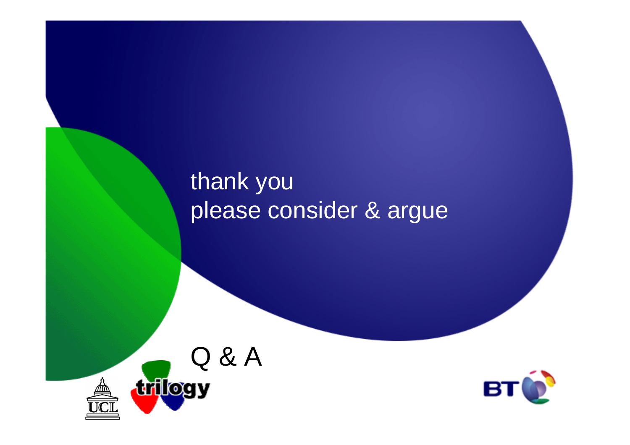## thank youplease consider & argue